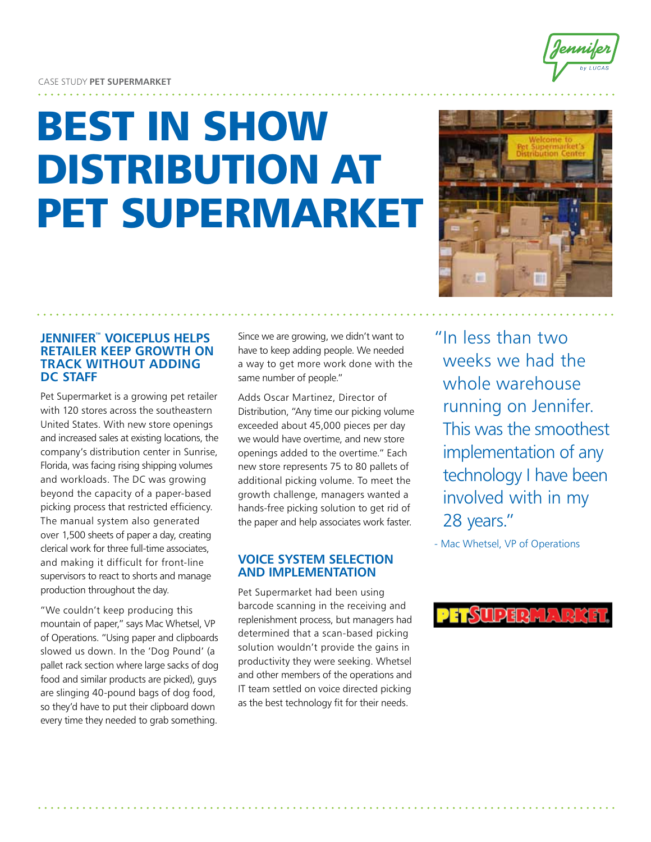# Best In Show Distribution at PET SUPERMARKET



## **Jennifer™ VoicePlus helps retailer keep growth on track without adding DC staff**

Pet Supermarket is a growing pet retailer with 120 stores across the southeastern United States. With new store openings and increased sales at existing locations, the company's distribution center in Sunrise, Florida, was facing rising shipping volumes and workloads. The DC was growing beyond the capacity of a paper-based picking process that restricted efficiency. The manual system also generated over 1,500 sheets of paper a day, creating clerical work for three full-time associates, and making it difficult for front-line supervisors to react to shorts and manage production throughout the day.

"We couldn't keep producing this mountain of paper," says Mac Whetsel, VP of Operations. "Using paper and clipboards slowed us down. In the 'Dog Pound' (a pallet rack section where large sacks of dog food and similar products are picked), guys are slinging 40-pound bags of dog food, so they'd have to put their clipboard down every time they needed to grab something.

Since we are growing, we didn't want to have to keep adding people. We needed a way to get more work done with the same number of people."

Adds Oscar Martinez, Director of Distribution, "Any time our picking volume exceeded about 45,000 pieces per day we would have overtime, and new store openings added to the overtime." Each new store represents 75 to 80 pallets of additional picking volume. To meet the growth challenge, managers wanted a hands-free picking solution to get rid of the paper and help associates work faster.

# **Voice System Selection and Implementation**

Pet Supermarket had been using barcode scanning in the receiving and replenishment process, but managers had determined that a scan-based picking solution wouldn't provide the gains in productivity they were seeking. Whetsel and other members of the operations and IT team settled on voice directed picking as the best technology fit for their needs.

"In less than two weeks we had the whole warehouse running on Jennifer. This was the smoothest implementation of any technology I have been involved with in my 28 years."

- Mac Whetsel, VP of Operations

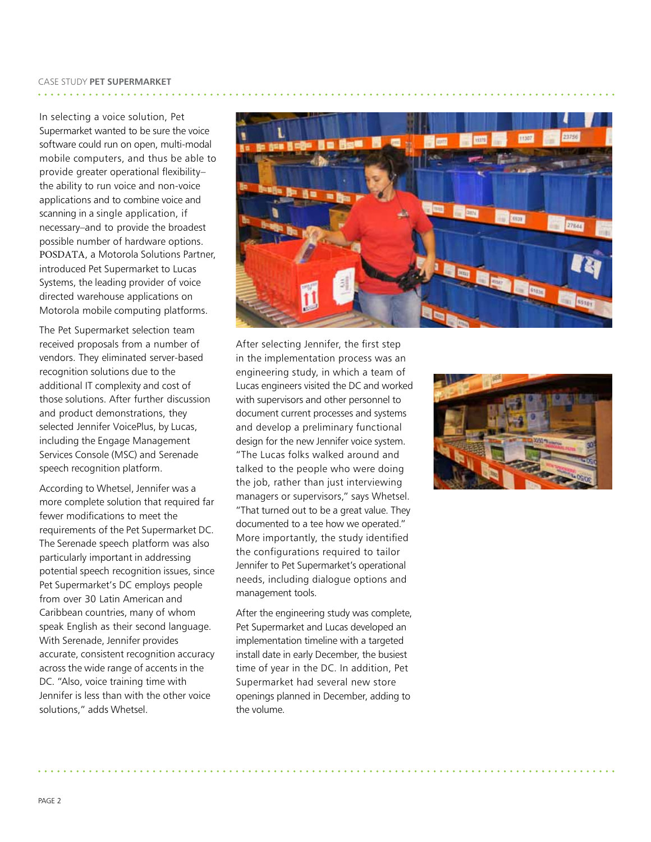In selecting a voice solution, Pet Supermarket wanted to be sure the voice software could run on open, multi-modal mobile computers, and thus be able to provide greater operational flexibility– the ability to run voice and non-voice applications and to combine voice and scanning in a single application, if necessary–and to provide the broadest possible number of hardware options. POSDATA, a Motorola Solutions Partner, introduced Pet Supermarket to Lucas Systems, the leading provider of voice directed warehouse applications on Motorola mobile computing platforms.

The Pet Supermarket selection team received proposals from a number of vendors. They eliminated server-based recognition solutions due to the additional IT complexity and cost of those solutions. After further discussion and product demonstrations, they selected Jennifer VoicePlus, by Lucas, including the Engage Management Services Console (MSC) and Serenade speech recognition platform.

According to Whetsel, Jennifer was a more complete solution that required far fewer modifications to meet the requirements of the Pet Supermarket DC. The Serenade speech platform was also particularly important in addressing potential speech recognition issues, since Pet Supermarket's DC employs people from over 30 Latin American and Caribbean countries, many of whom speak English as their second language. With Serenade, Jennifer provides accurate, consistent recognition accuracy across the wide range of accents in the DC. "Also, voice training time with Jennifer is less than with the other voice solutions," adds Whetsel.



After selecting Jennifer, the first step in the implementation process was an engineering study, in which a team of Lucas engineers visited the DC and worked with supervisors and other personnel to document current processes and systems and develop a preliminary functional design for the new Jennifer voice system. "The Lucas folks walked around and talked to the people who were doing the job, rather than just interviewing managers or supervisors," says Whetsel. "That turned out to be a great value. They documented to a tee how we operated." More importantly, the study identified the configurations required to tailor Jennifer to Pet Supermarket's operational needs, including dialogue options and management tools.

After the engineering study was complete, Pet Supermarket and Lucas developed an implementation timeline with a targeted install date in early December, the busiest time of year in the DC. In addition, Pet Supermarket had several new store openings planned in December, adding to the volume.

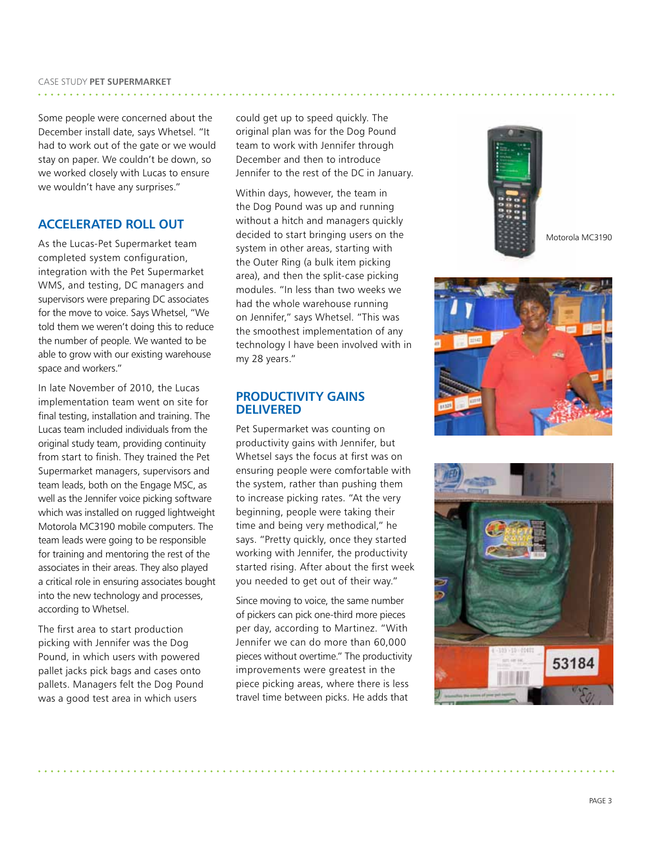Some people were concerned about the December install date, says Whetsel. "It had to work out of the gate or we would stay on paper. We couldn't be down, so we worked closely with Lucas to ensure we wouldn't have any surprises."

# **Accelerated Roll Out**

As the Lucas-Pet Supermarket team completed system configuration, integration with the Pet Supermarket WMS, and testing, DC managers and supervisors were preparing DC associates for the move to voice. Says Whetsel, "We told them we weren't doing this to reduce the number of people. We wanted to be able to grow with our existing warehouse space and workers."

In late November of 2010, the Lucas implementation team went on site for final testing, installation and training. The Lucas team included individuals from the original study team, providing continuity from start to finish. They trained the Pet Supermarket managers, supervisors and team leads, both on the Engage MSC, as well as the Jennifer voice picking software which was installed on rugged lightweight Motorola MC3190 mobile computers. The team leads were going to be responsible for training and mentoring the rest of the associates in their areas. They also played a critical role in ensuring associates bought into the new technology and processes, according to Whetsel.

The first area to start production picking with Jennifer was the Dog Pound, in which users with powered pallet jacks pick bags and cases onto pallets. Managers felt the Dog Pound was a good test area in which users

could get up to speed quickly. The original plan was for the Dog Pound team to work with Jennifer through December and then to introduce Jennifer to the rest of the DC in January.

Within days, however, the team in the Dog Pound was up and running without a hitch and managers quickly decided to start bringing users on the system in other areas, starting with the Outer Ring (a bulk item picking area), and then the split-case picking modules. "In less than two weeks we had the whole warehouse running on Jennifer," says Whetsel. "This was the smoothest implementation of any technology I have been involved with in my 28 years."

#### **Productivity Gains Delivered**

Pet Supermarket was counting on productivity gains with Jennifer, but Whetsel says the focus at first was on ensuring people were comfortable with the system, rather than pushing them to increase picking rates. "At the very beginning, people were taking their time and being very methodical," he says. "Pretty quickly, once they started working with Jennifer, the productivity started rising. After about the first week you needed to get out of their way."

Since moving to voice, the same number of pickers can pick one-third more pieces per day, according to Martinez. "With Jennifer we can do more than 60,000 pieces without overtime." The productivity improvements were greatest in the piece picking areas, where there is less travel time between picks. He adds that



Motorola MC3190